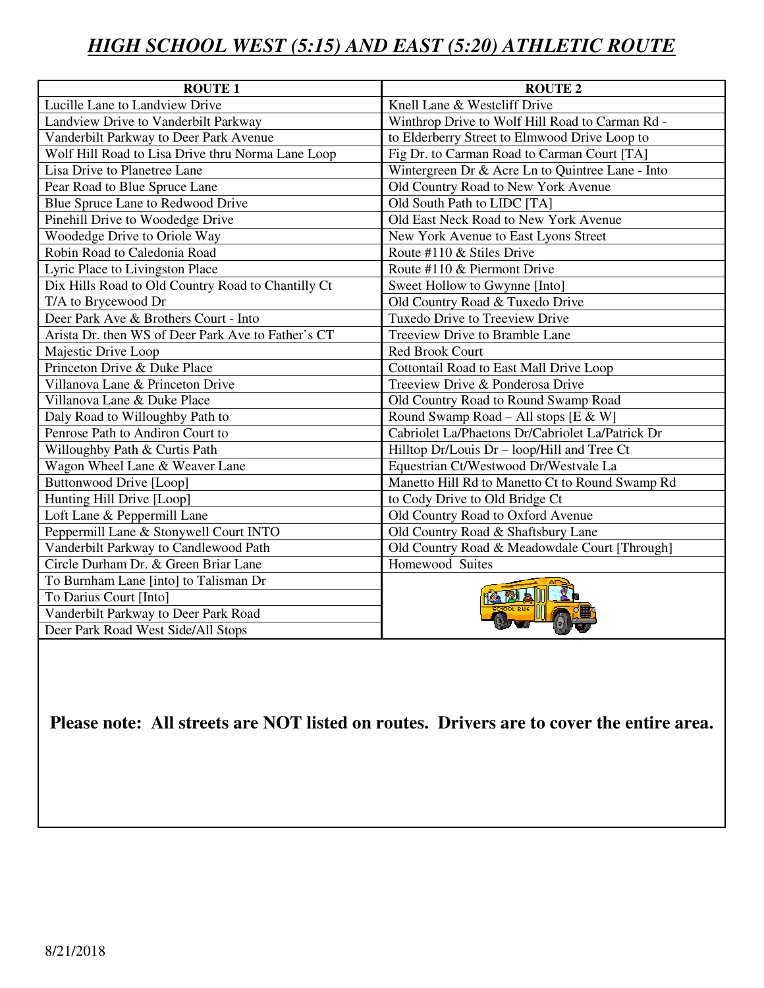## *HIGH SCHOOL WEST (5:15) AND EAST (5:20) ATHLETIC ROUTE*

| <b>ROUTE 1</b>                                     | <b>ROUTE 2</b>                                   |
|----------------------------------------------------|--------------------------------------------------|
| Lucille Lane to Landview Drive                     | Knell Lane & Westcliff Drive                     |
| Landview Drive to Vanderbilt Parkway               | Winthrop Drive to Wolf Hill Road to Carman Rd -  |
| Vanderbilt Parkway to Deer Park Avenue             | to Elderberry Street to Elmwood Drive Loop to    |
| Wolf Hill Road to Lisa Drive thru Norma Lane Loop  | Fig Dr. to Carman Road to Carman Court [TA]      |
| Lisa Drive to Planetree Lane                       | Wintergreen Dr & Acre Ln to Quintree Lane - Into |
| Pear Road to Blue Spruce Lane                      | Old Country Road to New York Avenue              |
| Blue Spruce Lane to Redwood Drive                  | Old South Path to LIDC [TA]                      |
| Pinehill Drive to Woodedge Drive                   | Old East Neck Road to New York Avenue            |
| Woodedge Drive to Oriole Way                       | New York Avenue to East Lyons Street             |
| Robin Road to Caledonia Road                       | Route #110 & Stiles Drive                        |
| Lyric Place to Livingston Place                    | Route #110 & Piermont Drive                      |
| Dix Hills Road to Old Country Road to Chantilly Ct | Sweet Hollow to Gwynne [Into]                    |
| T/A to Brycewood Dr                                | Old Country Road & Tuxedo Drive                  |
| Deer Park Ave & Brothers Court - Into              | Tuxedo Drive to Treeview Drive                   |
| Arista Dr. then WS of Deer Park Ave to Father's CT | Treeview Drive to Bramble Lane                   |
| Majestic Drive Loop                                | Red Brook Court                                  |
| Princeton Drive & Duke Place                       | Cottontail Road to East Mall Drive Loop          |
| Villanova Lane & Princeton Drive                   | Treeview Drive & Ponderosa Drive                 |
| Villanova Lane & Duke Place                        | Old Country Road to Round Swamp Road             |
| Daly Road to Willoughby Path to                    | Round Swamp Road - All stops [E & W]             |
| Penrose Path to Andiron Court to                   | Cabriolet La/Phaetons Dr/Cabriolet La/Patrick Dr |
| Willoughby Path & Curtis Path                      | Hilltop Dr/Louis Dr - loop/Hill and Tree Ct      |
| Wagon Wheel Lane & Weaver Lane                     | Equestrian Ct/Westwood Dr/Westvale La            |
| <b>Buttonwood Drive [Loop]</b>                     | Manetto Hill Rd to Manetto Ct to Round Swamp Rd  |
| Hunting Hill Drive [Loop]                          | to Cody Drive to Old Bridge Ct                   |
| Loft Lane & Peppermill Lane                        | Old Country Road to Oxford Avenue                |
| Peppermill Lane & Stonywell Court INTO             | Old Country Road & Shaftsbury Lane               |
| Vanderbilt Parkway to Candlewood Path              | Old Country Road & Meadowdale Court [Through]    |
| Circle Durham Dr. & Green Briar Lane               | Homewood Suites                                  |
| To Burnham Lane [into] to Talisman Dr              |                                                  |
| To Darius Court [Into]                             |                                                  |
| Vanderbilt Parkway to Deer Park Road               |                                                  |
| Deer Park Road West Side/All Stops                 |                                                  |

**Please note: All streets are NOT listed on routes. Drivers are to cover the entire area.**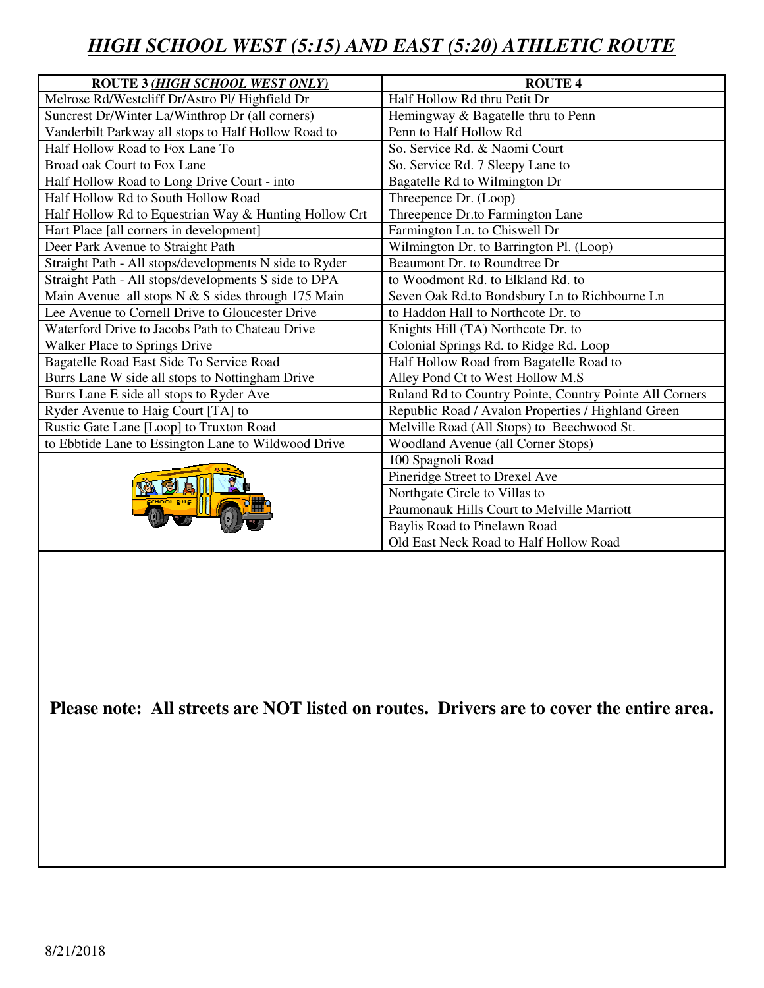## *HIGH SCHOOL WEST (5:15) AND EAST (5:20) ATHLETIC ROUTE*

| <b>ROUTE 3 (HIGH SCHOOL WEST ONLY)</b>                 | <b>ROUTE 4</b>                                          |
|--------------------------------------------------------|---------------------------------------------------------|
| Melrose Rd/Westcliff Dr/Astro Pl/ Highfield Dr         | Half Hollow Rd thru Petit Dr                            |
| Suncrest Dr/Winter La/Winthrop Dr (all corners)        | Hemingway & Bagatelle thru to Penn                      |
| Vanderbilt Parkway all stops to Half Hollow Road to    | Penn to Half Hollow Rd                                  |
| Half Hollow Road to Fox Lane To                        | So. Service Rd. & Naomi Court                           |
| Broad oak Court to Fox Lane                            | So. Service Rd. 7 Sleepy Lane to                        |
| Half Hollow Road to Long Drive Court - into            | Bagatelle Rd to Wilmington Dr                           |
| Half Hollow Rd to South Hollow Road                    | Threepence Dr. (Loop)                                   |
| Half Hollow Rd to Equestrian Way & Hunting Hollow Crt  | Threepence Dr.to Farmington Lane                        |
| Hart Place [all corners in development]                | Farmington Ln. to Chiswell Dr                           |
| Deer Park Avenue to Straight Path                      | Wilmington Dr. to Barrington Pl. (Loop)                 |
| Straight Path - All stops/developments N side to Ryder | Beaumont Dr. to Roundtree Dr                            |
| Straight Path - All stops/developments S side to DPA   | to Woodmont Rd. to Elkland Rd. to                       |
| Main Avenue all stops $N & S$ sides through 175 Main   | Seven Oak Rd.to Bondsbury Ln to Richbourne Ln           |
| Lee Avenue to Cornell Drive to Gloucester Drive        | to Haddon Hall to Northcote Dr. to                      |
| Waterford Drive to Jacobs Path to Chateau Drive        | Knights Hill (TA) Northcote Dr. to                      |
| Walker Place to Springs Drive                          | Colonial Springs Rd. to Ridge Rd. Loop                  |
| Bagatelle Road East Side To Service Road               | Half Hollow Road from Bagatelle Road to                 |
| Burrs Lane W side all stops to Nottingham Drive        | Alley Pond Ct to West Hollow M.S                        |
| Burrs Lane E side all stops to Ryder Ave               | Ruland Rd to Country Pointe, Country Pointe All Corners |
| Ryder Avenue to Haig Court [TA] to                     | Republic Road / Avalon Properties / Highland Green      |
| Rustic Gate Lane [Loop] to Truxton Road                | Melville Road (All Stops) to Beechwood St.              |
| to Ebbtide Lane to Essington Lane to Wildwood Drive    | Woodland Avenue (all Corner Stops)                      |
|                                                        | 100 Spagnoli Road                                       |
|                                                        | Pineridge Street to Drexel Ave                          |
|                                                        | Northgate Circle to Villas to                           |
|                                                        | Paumonauk Hills Court to Melville Marriott              |
|                                                        | Baylis Road to Pinelawn Road                            |
|                                                        | Old East Neck Road to Half Hollow Road                  |

**Please note: All streets are NOT listed on routes. Drivers are to cover the entire area.**